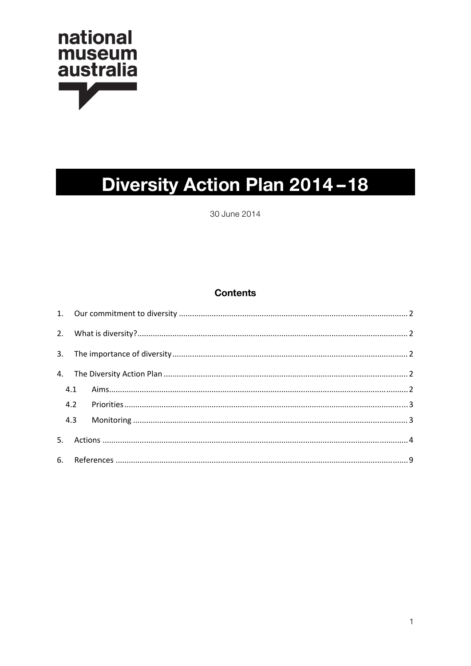

# Diversity Action Plan 2014-18

30 June 2014

# **Contents**

| 4.1 |  |  |  |
|-----|--|--|--|
|     |  |  |  |
| 4.3 |  |  |  |
|     |  |  |  |
|     |  |  |  |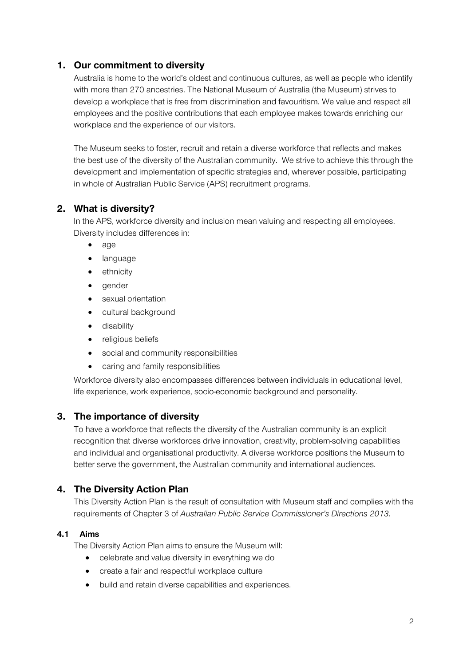# **1. Our commitment to diversity**

Australia is home to the world's oldest and continuous cultures, as well as people who identify with more than 270 ancestries. The National Museum of Australia (the Museum) strives to develop a workplace that is free from discrimination and favouritism. We value and respect all employees and the positive contributions that each employee makes towards enriching our workplace and the experience of our visitors.

The Museum seeks to foster, recruit and retain a diverse workforce that reflects and makes the best use of the diversity of the Australian community. We strive to achieve this through the development and implementation of specific strategies and, wherever possible, participating in whole of Australian Public Service (APS) recruitment programs.

# **2. What is diversity?**

In the APS, workforce diversity and inclusion mean valuing and respecting all employees. Diversity includes differences in:

- age
- language
- ethnicity
- gender
- sexual orientation
- cultural background
- disability
- religious beliefs
- social and community responsibilities
- caring and family responsibilities

Workforce diversity also encompasses differences between individuals in educational level, life experience, work experience, socio-economic background and personality.

# **3. The importance of diversity**

To have a workforce that reflects the diversity of the Australian community is an explicit recognition that diverse workforces drive innovation, creativity, problem-solving capabilities and individual and organisational productivity. A diverse workforce positions the Museum to better serve the government, the Australian community and international audiences.

# **4. The Diversity Action Plan**

This Diversity Action Plan is the result of consultation with Museum staff and complies with the requirements of Chapter 3 of *Australian Public Service Commissioner's Directions 2013*.

#### **4.1 Aims**

The Diversity Action Plan aims to ensure the Museum will:

- celebrate and value diversity in everything we do
- create a fair and respectful workplace culture
- build and retain diverse capabilities and experiences.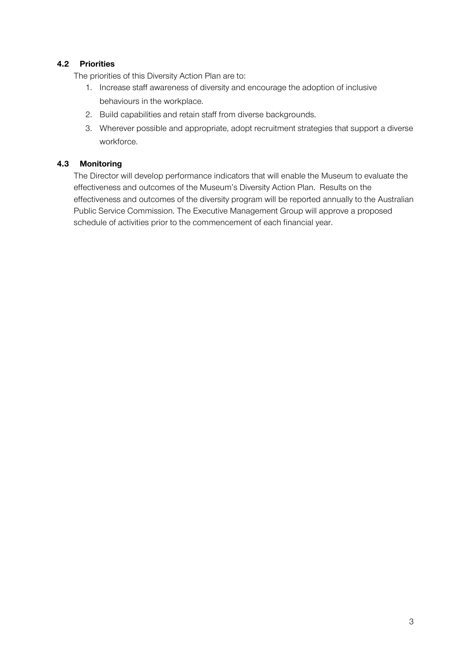## **4.2 Priorities**

The priorities of this Diversity Action Plan are to:

- 1. Increase staff awareness of diversity and encourage the adoption of inclusive behaviours in the workplace.
- 2. Build capabilities and retain staff from diverse backgrounds.
- 3. Wherever possible and appropriate, adopt recruitment strategies that support a diverse workforce.

#### **4.3 Monitoring**

The Director will develop performance indicators that will enable the Museum to evaluate the effectiveness and outcomes of the Museum's Diversity Action Plan. Results on the effectiveness and outcomes of the diversity program will be reported annually to the Australian Public Service Commission. The Executive Management Group will approve a proposed schedule of activities prior to the commencement of each financial year.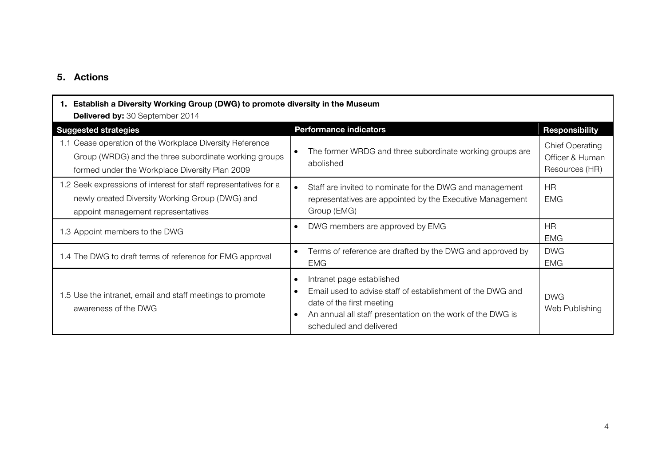## **5. Actions**

| 1. Establish a Diversity Working Group (DWG) to promote diversity in the Museum<br><b>Delivered by: 30 September 2014</b>                                           |                                                                                                                                                                                                               |                                                             |  |  |
|---------------------------------------------------------------------------------------------------------------------------------------------------------------------|---------------------------------------------------------------------------------------------------------------------------------------------------------------------------------------------------------------|-------------------------------------------------------------|--|--|
| <b>Suggested strategies</b>                                                                                                                                         | <b>Performance indicators</b>                                                                                                                                                                                 | <b>Responsibility</b>                                       |  |  |
| 1.1 Cease operation of the Workplace Diversity Reference<br>Group (WRDG) and the three subordinate working groups<br>formed under the Workplace Diversity Plan 2009 | The former WRDG and three subordinate working groups are<br>abolished                                                                                                                                         | <b>Chief Operating</b><br>Officer & Human<br>Resources (HR) |  |  |
| 1.2 Seek expressions of interest for staff representatives for a<br>newly created Diversity Working Group (DWG) and<br>appoint management representatives           | Staff are invited to nominate for the DWG and management<br>representatives are appointed by the Executive Management<br>Group (EMG)                                                                          | HR.<br>EMG                                                  |  |  |
| 1.3 Appoint members to the DWG                                                                                                                                      | DWG members are approved by EMG                                                                                                                                                                               | <b>HR</b><br><b>EMG</b>                                     |  |  |
| 1.4 The DWG to draft terms of reference for EMG approval                                                                                                            | Terms of reference are drafted by the DWG and approved by<br><b>EMG</b>                                                                                                                                       | <b>DWG</b><br><b>EMG</b>                                    |  |  |
| 1.5 Use the intranet, email and staff meetings to promote<br>awareness of the DWG                                                                                   | Intranet page established<br>Email used to advise staff of establishment of the DWG and<br>date of the first meeting<br>An annual all staff presentation on the work of the DWG is<br>scheduled and delivered | <b>DWG</b><br>Web Publishing                                |  |  |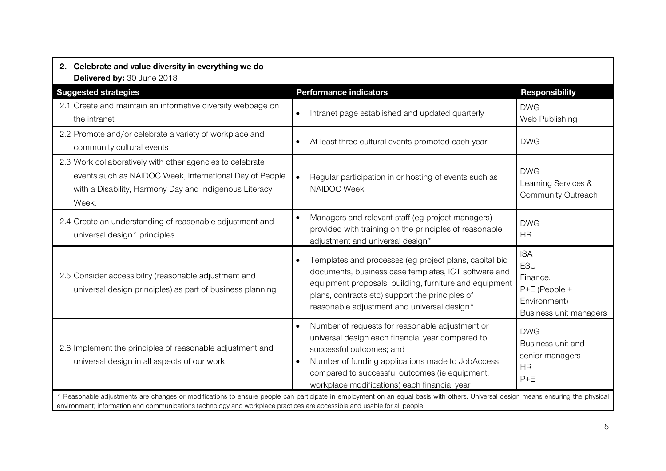| 2. Celebrate and value diversity in everything we do<br>Delivered by: 30 June 2018                                                                                                                                                                                                                         |                                                                                                                                                                                                                                                                                                    |                                                                                                   |  |
|------------------------------------------------------------------------------------------------------------------------------------------------------------------------------------------------------------------------------------------------------------------------------------------------------------|----------------------------------------------------------------------------------------------------------------------------------------------------------------------------------------------------------------------------------------------------------------------------------------------------|---------------------------------------------------------------------------------------------------|--|
| <b>Suggested strategies</b>                                                                                                                                                                                                                                                                                | <b>Performance indicators</b>                                                                                                                                                                                                                                                                      | <b>Responsibility</b>                                                                             |  |
| 2.1 Create and maintain an informative diversity webpage on<br>the intranet                                                                                                                                                                                                                                | Intranet page established and updated quarterly<br>$\bullet$                                                                                                                                                                                                                                       | <b>DWG</b><br>Web Publishing                                                                      |  |
| 2.2 Promote and/or celebrate a variety of workplace and<br>community cultural events                                                                                                                                                                                                                       | At least three cultural events promoted each year                                                                                                                                                                                                                                                  | <b>DWG</b>                                                                                        |  |
| 2.3 Work collaboratively with other agencies to celebrate<br>events such as NAIDOC Week, International Day of People<br>with a Disability, Harmony Day and Indigenous Literacy<br>Week.                                                                                                                    | Regular participation in or hosting of events such as<br>NAIDOC Week                                                                                                                                                                                                                               | <b>DWG</b><br>Learning Services &<br>Community Outreach                                           |  |
| 2.4 Create an understanding of reasonable adjustment and<br>universal design* principles                                                                                                                                                                                                                   | Managers and relevant staff (eg project managers)<br>provided with training on the principles of reasonable<br>adjustment and universal design*                                                                                                                                                    | <b>DWG</b><br><b>HR</b>                                                                           |  |
| 2.5 Consider accessibility (reasonable adjustment and<br>universal design principles) as part of business planning                                                                                                                                                                                         | Templates and processes (eg project plans, capital bid<br>documents, business case templates, ICT software and<br>equipment proposals, building, furniture and equipment<br>plans, contracts etc) support the principles of<br>reasonable adjustment and universal design*                         | <b>ISA</b><br><b>ESU</b><br>Finance,<br>$P+E$ (People +<br>Environment)<br>Business unit managers |  |
| 2.6 Implement the principles of reasonable adjustment and<br>universal design in all aspects of our work                                                                                                                                                                                                   | Number of requests for reasonable adjustment or<br>universal design each financial year compared to<br>successful outcomes; and<br>Number of funding applications made to JobAccess<br>$\bullet$<br>compared to successful outcomes (ie equipment,<br>workplace modifications) each financial year | <b>DWG</b><br>Business unit and<br>senior managers<br><b>HR</b><br>$P+E$                          |  |
| Reasonable adjustments are changes or modifications to ensure people can participate in employment on an equal basis with others. Universal design means ensuring the physical<br>environment; information and communications technology and workplace practices are accessible and usable for all people. |                                                                                                                                                                                                                                                                                                    |                                                                                                   |  |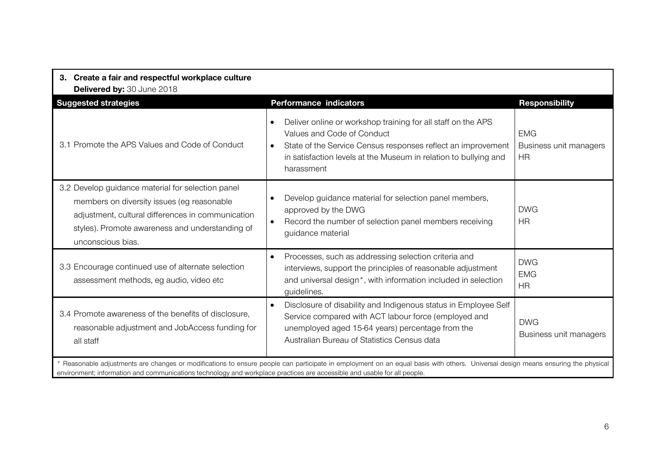| 3. Create a fair and respectful workplace culture                                                                                                                                                                                                                                                            |                                                                                                                                                                                                                                                           |                                                   |  |  |
|--------------------------------------------------------------------------------------------------------------------------------------------------------------------------------------------------------------------------------------------------------------------------------------------------------------|-----------------------------------------------------------------------------------------------------------------------------------------------------------------------------------------------------------------------------------------------------------|---------------------------------------------------|--|--|
| Delivered by: 30 June 2018<br><b>Suggested strategies</b>                                                                                                                                                                                                                                                    | <b>Performance indicators</b>                                                                                                                                                                                                                             | <b>Responsibility</b>                             |  |  |
| 3.1 Promote the APS Values and Code of Conduct                                                                                                                                                                                                                                                               | Deliver online or workshop training for all staff on the APS<br>Values and Code of Conduct<br>State of the Service Census responses reflect an improvement<br>$\bullet$<br>in satisfaction levels at the Museum in relation to bullying and<br>harassment | <b>EMG</b><br>Business unit managers<br><b>HR</b> |  |  |
| 3.2 Develop guidance material for selection panel<br>members on diversity issues (eg reasonable<br>adjustment, cultural differences in communication<br>styles). Promote awareness and understanding of<br>unconscious bias.                                                                                 | Develop guidance material for selection panel members,<br>approved by the DWG<br>Record the number of selection panel members receiving<br>$\bullet$<br>guidance material                                                                                 | <b>DWG</b><br><b>HR</b>                           |  |  |
| 3.3 Encourage continued use of alternate selection<br>assessment methods, eg audio, video etc                                                                                                                                                                                                                | Processes, such as addressing selection criteria and<br>$\bullet$<br>interviews, support the principles of reasonable adjustment<br>and universal design <sup>*</sup> , with information included in selection<br>guidelines.                             | <b>DWG</b><br><b>EMG</b><br><b>HR</b>             |  |  |
| 3.4 Promote awareness of the benefits of disclosure,<br>reasonable adjustment and JobAccess funding for<br>all staff                                                                                                                                                                                         | Disclosure of disability and Indigenous status in Employee Self<br>Service compared with ACT labour force (employed and<br>unemployed aged 15-64 years) percentage from the<br>Australian Bureau of Statistics Census data                                | <b>DWG</b><br>Business unit managers              |  |  |
| * Reasonable adjustments are changes or modifications to ensure people can participate in employment on an equal basis with others. Universal design means ensuring the physical<br>environment; information and communications technology and workplace practices are accessible and usable for all people. |                                                                                                                                                                                                                                                           |                                                   |  |  |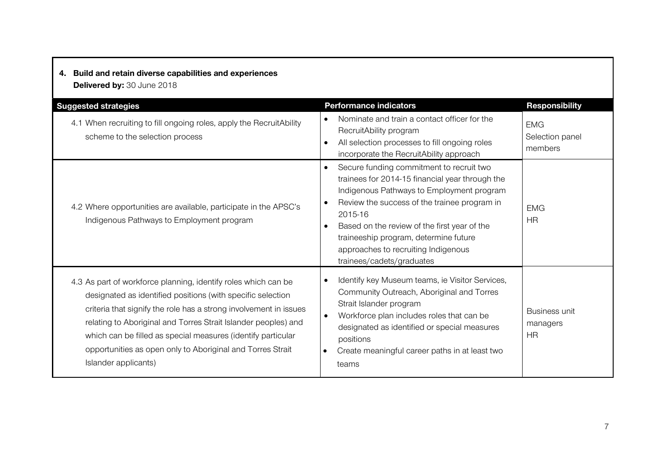# **4. Build and retain diverse capabilities and experiences**

**Delivered by:** 30 June 2018

| <b>Suggested strategies</b>                                                                                                                                                                                                                                                                                                                                                                                                | <b>Performance indicators</b>                                                                                                                                                                                                                                                                                                                                                                           | <b>Responsibility</b>                    |
|----------------------------------------------------------------------------------------------------------------------------------------------------------------------------------------------------------------------------------------------------------------------------------------------------------------------------------------------------------------------------------------------------------------------------|---------------------------------------------------------------------------------------------------------------------------------------------------------------------------------------------------------------------------------------------------------------------------------------------------------------------------------------------------------------------------------------------------------|------------------------------------------|
| 4.1 When recruiting to fill ongoing roles, apply the RecruitAbility<br>scheme to the selection process                                                                                                                                                                                                                                                                                                                     | Nominate and train a contact officer for the<br>RecruitAbility program<br>All selection processes to fill ongoing roles<br>$\bullet$<br>incorporate the RecruitAbility approach                                                                                                                                                                                                                         | <b>EMG</b><br>Selection panel<br>members |
| 4.2 Where opportunities are available, participate in the APSC's<br>Indigenous Pathways to Employment program                                                                                                                                                                                                                                                                                                              | Secure funding commitment to recruit two<br>$\bullet$<br>trainees for 2014-15 financial year through the<br>Indigenous Pathways to Employment program<br>Review the success of the trainee program in<br>$\bullet$<br>2015-16<br>Based on the review of the first year of the<br>$\bullet$<br>traineeship program, determine future<br>approaches to recruiting Indigenous<br>trainees/cadets/graduates | <b>EMG</b><br><b>HR</b>                  |
| 4.3 As part of workforce planning, identify roles which can be<br>designated as identified positions (with specific selection<br>criteria that signify the role has a strong involvement in issues<br>relating to Aboriginal and Torres Strait Islander peoples) and<br>which can be filled as special measures (identify particular<br>opportunities as open only to Aboriginal and Torres Strait<br>Islander applicants) | Identify key Museum teams, ie Visitor Services,<br>Community Outreach, Aboriginal and Torres<br>Strait Islander program<br>Workforce plan includes roles that can be<br>$\bullet$<br>designated as identified or special measures<br>positions<br>Create meaningful career paths in at least two<br>teams                                                                                               | Business unit<br>managers<br>HR          |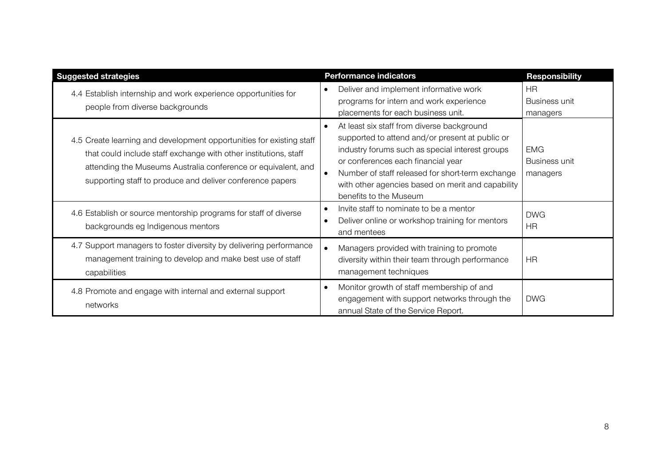| <b>Suggested strategies</b>                                                                                                                                                                                                                                            | <b>Performance indicators</b>                                                                                                                                                                                                                                                                                                                       | <b>Responsibility</b>                  |
|------------------------------------------------------------------------------------------------------------------------------------------------------------------------------------------------------------------------------------------------------------------------|-----------------------------------------------------------------------------------------------------------------------------------------------------------------------------------------------------------------------------------------------------------------------------------------------------------------------------------------------------|----------------------------------------|
| 4.4 Establish internship and work experience opportunities for<br>people from diverse backgrounds                                                                                                                                                                      | Deliver and implement informative work<br>$\bullet$<br>programs for intern and work experience<br>placements for each business unit.                                                                                                                                                                                                                | <b>HR</b><br>Business unit<br>managers |
| 4.5 Create learning and development opportunities for existing staff<br>that could include staff exchange with other institutions, staff<br>attending the Museums Australia conference or equivalent, and<br>supporting staff to produce and deliver conference papers | At least six staff from diverse background<br>$\bullet$<br>supported to attend and/or present at public or<br>industry forums such as special interest groups<br>or conferences each financial year<br>Number of staff released for short-term exchange<br>$\bullet$<br>with other agencies based on merit and capability<br>benefits to the Museum | EMG<br>Business unit<br>managers       |
| 4.6 Establish or source mentorship programs for staff of diverse<br>backgrounds eg Indigenous mentors                                                                                                                                                                  | Invite staff to nominate to be a mentor<br>$\bullet$<br>Deliver online or workshop training for mentors<br>$\bullet$<br>and mentees                                                                                                                                                                                                                 | <b>DWG</b><br><b>HR</b>                |
| 4.7 Support managers to foster diversity by delivering performance<br>management training to develop and make best use of staff<br>capabilities                                                                                                                        | Managers provided with training to promote<br>$\bullet$<br>diversity within their team through performance<br>management techniques                                                                                                                                                                                                                 | <b>HR</b>                              |
| 4.8 Promote and engage with internal and external support<br>networks                                                                                                                                                                                                  | Monitor growth of staff membership of and<br>$\bullet$<br>engagement with support networks through the<br>annual State of the Service Report.                                                                                                                                                                                                       | <b>DWG</b>                             |